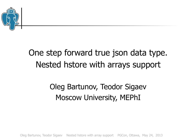

## One step forward true json data type. Nested hstore with arrays support

## Oleg Bartunov, Teodor Sigaev Moscow University, MEPhI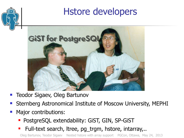

- Teodor Sigaev, Oleg Bartunov
- Sternberg Astronomical Institute of Moscow University, MEPHI
- Major contributions:
	- **PostgreSQL extendability: GiST, GIN, SP-GiST**
	- **Full-text search, Itree, pg\_trgm, hstore, intarray,..**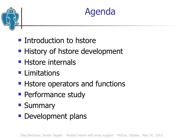



- **Introduction to hstore**
- **History of hstore development**
- **Histore internals**
- **Limitations**
- **Histore operators and functions**
- **Performance study**
- **Summary**
- **Development plans**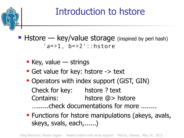

# Introduction to hstore

- $\blacksquare$  Hstore key/value storage (inspired by perl hash) 'a=>1, b=>2'::hstore
	- $\blacksquare$  Key, value strings
	- Get value for key: hstore -> text
	- Operators with index support (GiST, GIN) Check for key: hstore ? text Contains: hstore @> hstore …......check documentations for more ........
	- **Functions for hstore manipulations (akeys, avals,** skeys, svals, each,......)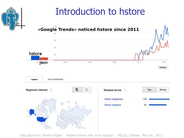## Introduction to hstore

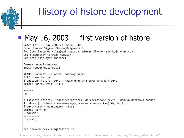# History of hstore development

#### • May 16, 2003  $-$  first version of hstore

```
Date: Fri, 16 May 2003 22:56:14 +0400
From: Teodor Sigaev <teodor@sigaev.ru>
To: Oleg Bartunov <oleg@sai.msu.su>, Alexey Slynko <slynko@tronet.ru>
Cc: E.Rodichev <er@sai.msu.su>
Subject: hash type (hstore)
Готова первайа версия:
zeus:~teodor/hstore.tgz
README написать не успел, поэтому здесь:
1 1/0 TMNa hstore
2 операция hstore->text - извлечение значения по ключу text
select 'a=>q, b=>g'->'a';
 ?
------
 a
3 isexists(hstore), isdefined(hstore), delete(hstore,text) - полный перловый аналог
4 hstore || hstore - конкатенация, аналог в перле %а=(%b, %с);
5 text=>text - возвращает hstore
select 'a' => b':
 ?column?
 "a"=>"b"
```
#### Все примеры есть в sql/hstore.sql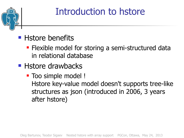

# Introduction to hstore

## ■ Hstore benefits

- **Flexible model for storing a semi-structured data** in relational database
- **Histore drawbacks** 
	- **Too simple model!** Hstore key-value model doesn't supports tree-like structures as json (introduced in 2006, 3 years after hstore)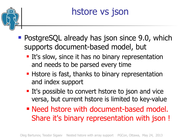

# hstore vs json

- **PostgreSQL already has json since 9.0, which** supports document-based model, but
	- **It's slow, since it has no binary representation** and needs to be parsed every time
	- **Hstore is fast, thanks to binary representation** and index support
	- **It's possible to convert hstore to json and vice** versa, but current hstore is limited to key-value
	- Need hstore with document-based model. Share it's binary representation with json !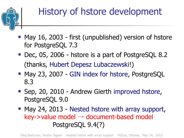

# History of hstore development

- May 16, 2003 first (unpublished) version of hstore for PostgreSQL 7.3
- Dec, 05, 2006 hstore is a part of PostgreSQL 8.2 (thanks, [Hubert Depesz Lubaczewski](http://www.postgresql.org/message-id/9e4684ce0605031006le37a9arca20816dd278f13@mail.gmail.com)!)
- May 23, 2007 [GIN index for hstore](https://www.pgcon.org/2007/schedule/events/22.en.html), PostgreSQL 8.3
- Sep, 20, 2010 Andrew Gierth [improved hstore,](http://www.postgresql.org/message-id/87hc1xi9gd.fsf@news-spur.riddles.org.uk) PostgreSQL 9.0
- May 24, 2013 [Nested hstore with array support,](https://www.pgcon.org/2013/schedule/events/518.en.html) key->value model → document-based model PostgreSQL 9.4(?)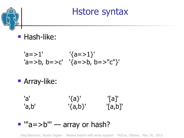Hstore syntax

**Hash-like:** 

$$
a = > 1' \qquad \{a = > 1\}'
$$
  
\n
$$
a = > b, b = > c' \quad \{a = > b, b = > "c" \}'
$$

**Array-like:** 

'a' '{a}' '[a]' 'a,b' '{a,b}' '[a,b]'

#### $\blacksquare$  "a=>b"' — array or hash?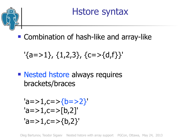

Hstore syntax

**E** Combination of hash-like and array-like

$$
\{a = > 1\}, \{1, 2, 3\}, \{c = > \{d, f\}\}'
$$

**Nested hstore always requires** brackets/braces

$$
a = > 1, c = > {b = > 2} \n'a = > 1, c = > [b, 2] \n'a = > 1, c = > {b, 2}
$$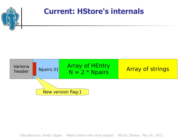

#### **Current: HStore's internals**

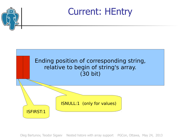

Current: HEntry

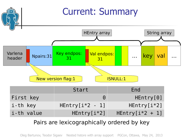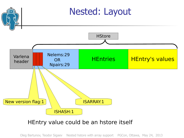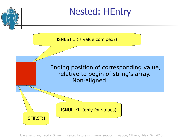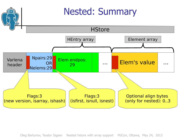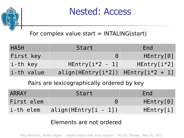

Nested: Access

#### For complex value start  $=$  INTALING(start)

| <b>HASH</b> | Start                                   | End           |
|-------------|-----------------------------------------|---------------|
| First key   | $\Theta$                                | HEntry[0]     |
| i-th key    | $HEntry[i*2 - 1]$                       | $HEntry[i*2]$ |
| i-th value  | $align(HEntry[i*2])$ HEntry $[i*2 + 1]$ |               |

Pairs are lexicographically ordered by key

| <b>ARRAY</b> | Start                  | End       |
|--------------|------------------------|-----------|
| First elem   |                        | HEntry[0] |
| i-th elem    | $align(HEntry[i - 1])$ | HEntry[i] |

#### Elements are not ordered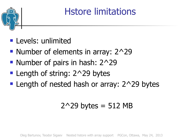

## Hstore limitations

- **Levels: unlimited**
- Number of elements in array:  $2^2$
- Number of pairs in hash: 2^29
- **Length of string: 2^29 bytes**
- **Length of nested hash or array: 2^29 bytes**

## $2^{\wedge}29$  bytes = 512 MB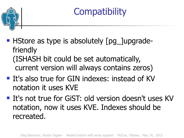

# **Compatibility**

- **HIStore as type is absolutely [pg\_]upgrade**friendly (ISHASH bit could be set automatically, current version will always contains zeros)
- It's also true for GIN indexes: instead of KV notation it uses KVE
- **If's not true for GiST: old version doesn't uses KV** notation, now it uses KVE. Indexes should be recreated.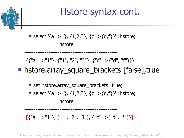

hstore

--------------------------------------------------

**[**{"a"=>"1"}, **[**"1", "2", "3"**]**, {"c"=>**[**"d", "f"**]**}**]**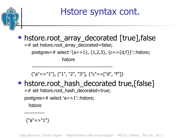

## Hstore syntax cont.

#### **• hstore.root array decorated [true], false**

=# set hstore.root\_array\_decorated=false;

postgres=# select '{a=>1}, {1,2,3}, {c=>{d,f}}'::hstore;

hstore

------------------------------------------------

 $\{$ "a"=>"1"}, ["1", "2", "3"],  $\{$ "c"=>["d", "f"]}

## **h** hstore.root hash decorated true, [false]

=# set hstore.root\_hash\_decorated=true;

postgres=# select 'a=>1'::hstore;

hstore

------------

 ${''a}=">='1"$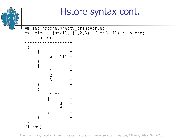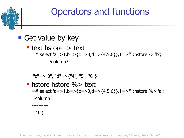

#### Get value by key

■ text hstore -> text =# select 'a=>1,b=>{c=>3,d=>{4,5,6}},1=>f'::hstore -> 'b'; ?column?

"c"=>"3", "d"=>{"4", "5", "6"}

--------------------------------------

**• hstore hstore %> text** =# select 'a=>1,b=>{c=>3,d=>{4,5,6}},1=>f'::hstore %> 'a'; ?column?

{"1"}

----------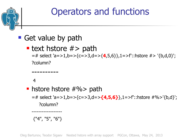

#### Get value by path

## **Ext hstore**  $#$ **> path**

=# select 'a=>1,b=>{c=>3,d=>{**4**,5,6}},1=>f'::hstore #> '{b,d,0}'; ?column?

#### 4

**• hstore hstore**  $\#%$  **path** =# select 'a=>1,b=>{c=>3,d=>**{4,5,6}**},1=>f'::hstore #%>'{b,d}'; ?column?

{"4", "5", "6"}

------------------

----------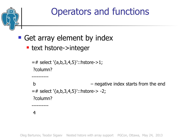

## Get array element by index

■ text hstore->integer

```
= # select '{a,b,3,4,5}'::hstore->1;
?column?
----------
b – negative index starts from the end
=# select '{a,b,3,4,5}'::hstore-> -2; 
?column? 
 ----------
4
```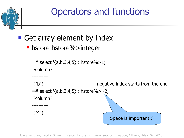

## Get array element by index

**- hstore hstore%>integer** 

```
= # select '{a,b,3,4,5}'::hstore%>1;
?column?
----------
{"b"} – negative index starts from the end
= # select '{a,b,3,4,5}'::hstore%> -2;
?column? 
----------
{"4"}
                                   Space is important :)
```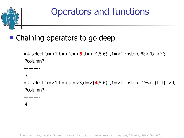

## **• Chaining operators to go deep**

=# select 'a=>1,b=>{c=>**3**,d=>{4,5,6}},1=>f'::hstore %> 'b'->'c'; ?column?

#### 3

----------

----------

=# select 'a=>1,b=>{c=>3,d=>{**4**,5,6}},1=>f'::hstore #%> '{b,d}'->0; ?column?

#### 4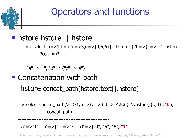

#### **histore histore II histore**

---------------------------

=# select 'a=>1,b=>{c=>3,d=>{4,5,6}}'::hstore || 'b=>{c=>4}'::hstore; ?column?

"a"=>"1", "b"=>{"c"=>"4"}

## **E** Concatenation with path hstore concat path(hstore,text[],hstore)

=# select concat\_path('a=>1,b=>{c=>3,d=>{4,5,6}}'::hstore,'{b,d}', '**1**'); concat\_path

#### "a"=>"1", "b"=>{"c"=>"3", "d"=>{"4", "5", "6", "**1**"}}

------------------------------------------------------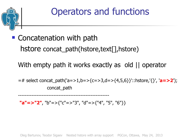

**Concatenation with path** hstore concat\_path(hstore,text[],hstore)

With empty path it works exactly as old || operator

=# select concat\_path('a=>1,b=>{c=>3,d=>{4,5,6}}'::hstore,'{}', '**a=>2**'); concat\_path

**"a"=>"2"**, "b"=>{"c"=>"3", "d"=>{"4", "5", "6"}}

------------------------------------------------------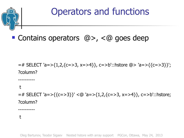

#### ■ Contains operators @>, <@ goes deep

=# SELECT 'a=>{1,2,{c=>3, x=>4}}, c=>b'::hstore @> 'a=>{{c=>3}}'; ?column?

t

----------

----------

=# SELECT 'a=>{{c=>3}}' <@ 'a=>{1,2,{c=>3, x=>4}}, c=>b'::hstore; ?column?

t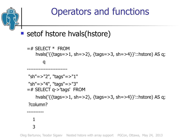

## setof hstore hvals(hstore)

```
= # SFI FCT * FROM
     hvals('{{tags=>1, sh=>2}, {tags=>3, sh=>4}}'::hstore) AS q;
        q
    ------------------------
"sh"=>"2", "tags"=>"1"
"sh"=>"4", "tags"=>"3" 
= # SELECT q->'tags' FROM
     hvals('{{tags=>1, sh=>2}, {tags=>3, sh=>4}}'::hstore) AS q;
?column?
----------
```
 1 3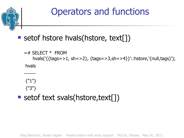

## **Setof hstore hvals (hstore, text[])**

```
= # SFI FCT * FROM
     hvals('{{tags=>1, sh=>2}, {tags=>3,sh=>4}}'::hstore,'{null,tags}');
hvals
-------
{"1"}
{"3"}
```
#### **Setof text svals(hstore,text[])**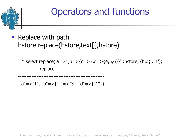

 Replace with path hstore replace(hstore,text[],hstore)

=# select replace('a=>1,b=>{c=>3,d=>{4,5,6}}'::hstore,'{b,d}', '1'); replace

"a"=>"1", "b"=>{"c"=>"3", "d"=>{"1"}}

---------------------------------------------------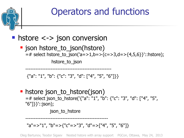

json\_to\_hstore

-------------------------------------------------

"a"=>"1", "b"=>{"c"=>"3", "d"=>["4", "5", "6"]}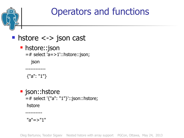

■ hstore <-> json cast

**h**store::json =# select 'a=>1'::hstore::json;

json

{"a": "1"}

------------

**g** json::hstore =# select '{"a": "1"}'::json::hstore; hstore

"a"=>"1"

----------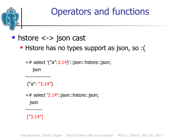

#### ■ hstore <-> json cast

Hstore has no types support as json, so :(

=# select '{"a":3.14}'::json::hstore::json; json ---------------

 ${''a}$ "3.14"}

 $=$  # select '3.14'::json::hstore::json; json

["3.14"]

----------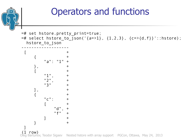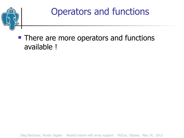

#### **There are more operators and functions** available !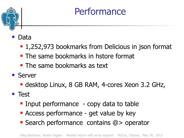

- Data
	- 1,252,973 bookmarks from Delicious in json format
	- **The same bookmarks in hstore format**
	- **The same bookmarks as text**
- Server
	- **desktop Linux, 8 GB RAM, 4-cores Xeon 3.2 GHz,**

**Test** 

- **Input performance** copy data to table
- **Access performance get value by key**
- Search performance contains @> operator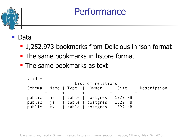#### Data

- 1,252,973 bookmarks from Delicious in json format
- **The same bookmarks in hstore format**
- **The same bookmarks as text**

```
=# \dt+
                      List of relations
 Schema | Name | Type | Owner | Size | Description
    --------+------+-------+----------+---------+-------------
 public | hs | table | postgres | 1379 MB |
public | js | table | postgres | 1322 MB
 public | tx | table | postgres | 1322 MB |
```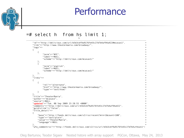#### =# select h from hs limit 1; had a structure of the contract of the contract of the contract of the contract of the contract of the contract of the contract of the contract of the contract of the contract of the contract of the contract of the contrac

```
------------------------------------------------------------------------------------------------
   "id"=>"http://delicious.com/url/b5b3cbf9a9176fe43c27d7b4af94a422#mcasas1", +
   "link"=>"http://www.theatermania.com/broadway/", +
 "tags"=> +
\left\{ \begin{array}{c} \end{array} \right.\{ +
      "tern" => "NYC".
       "label"=>NULL, +
       "scheme"=>"http://delicious.com/mcasas1/" +
\}, \qquad\{ +
       "term"=>"english", +
      "label"=>NULL. "scheme"=>"http://delicious.com/mcacas1/" +
\}, \qquad\}, \qquad\blacksquare links"=> +\left\{ \begin{array}{c} \end{array} \right.\{ +
       "rel"=>"alternate", +
       "href"=>"http://www.theatermania.com/broadway/", +
       "type"=>"text/html" +
\} +
\}, \qquad "title"=>"TheaterMania", +
  "author" => "mcasas1",
   "source"=>NULL, +
  "updated"=>"Tue, 08 Sep 2009 23:28:55 +0000",
   "comments"=>"http://delicious.com/url/b5b3cbf9a9176fe43c27d7b4af94a422", +
   "guidislink"=>"false", +
   "title_detail"=> +
\left\{ \begin{array}{c} \end{array} \right. "base"=>"http://feeds.delicious.com/v2/rss/recent?min=1&count=100", +
     "type"=>"text/plain", +
     "value"=>"TheaterMania", +
     "language"=>NULL +
\}, \qquad "wfw_commentrss"=>"http://feeds.delicious.com/v2/rss/url/b5b3cbf9a9176fe43c27d7b4af94a422"+
```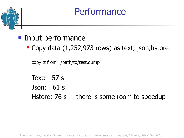#### **Input performance**

■ Copy data (1,252,973 rows) as text, json, hstore

copy tt from '/path/to/test.dump'

Text: 57 s Json: 61 s Hstore: 76 s  $-$  there is some room to speedup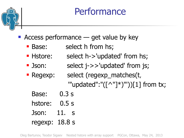- Access performance get value by key
	- **Base:** select h from hs;
	- **Histore:** select h->'updated' from hs;
	- **J**son: select j->>'updated' from js;
	- Regexp: select (regexp\_matches(t,
		- "'updated":" $(\lceil$ ^"]\*)"'))[1] from tx;
		- Base: 0.3 s
		- hstore: 0.5 s
		- Json: 11. s
		- regexp: 18.8 s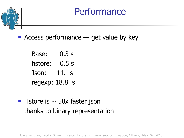

- Access performance get value by key
	- Base: 0.3 s hstore: 0.5 s Json: 11. s regexp: 18.8 s
- **Histore is**  $\sim$  **50x faster json** thanks to binary representation !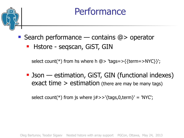



- Search performance contains @> operator
	- **Hstore segscan, GiST, GIN**

select count(\*) from hs where h  $\omega$  'tags=>{{term=>NYC}}';

**-** Json — estimation, GiST, GIN (functional indexes) exact time  $>$  estimation (there are may be many tags)

select count(\*) from js where  $j#>>$ '{tags,0,term}' = 'NYC';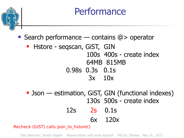

■ Search performance — contains @> operator

#### **- Hstore - segscan, GiST, GIN**  100s 400s - create index 64MB 815MB 0.98s 0.3s 0.1s 3x 10x

**-** Json — estimation, GiST, GIN (functional indexes) 130s 500s - create index 12s 2s 0.1s

6x 120x

Recheck (GiST) calls json\_to\_hstore()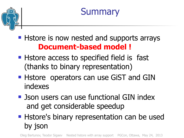



- **Histore is now nested and supports arrays Document-based model !**
- **Histore access to specified field is fast** (thanks to binary representation)
- **Histore operators can use GiST and GIN** indexes
- **De Json users can use functional GIN index** and get considerable speedup
- **Histore's binary representation can be used** by json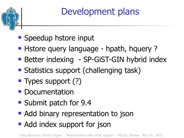

Development plans

- **Speedup hstore input**
- **Histore query language hpath, hquery?**
- **Better indexing SP-GiST-GIN hybrid index**
- **Statistics support (challenging task)**
- **Types support (?)**
- **Documentation**
- Submit patch for 9.4
- **Add binary representation to json**
- Add index support for json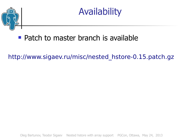



#### **Patch to master branch is available**

[http://www.sigaev.ru/misc/nested\\_hstore-0.15.patch.gz](http://www.sigaev.ru/misc/nested_hstore-0.15.patch.gz)